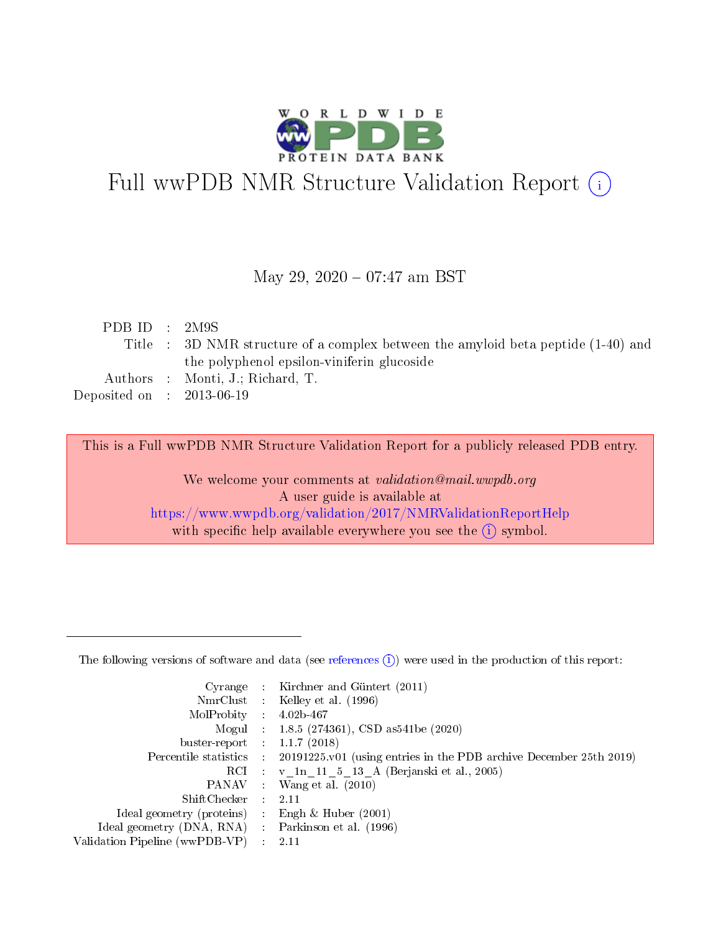

# Full wwPDB NMR Structure Validation Report (i)

### May 29, 2020 - 07:47 am BST

| PDB ID : $2M9S$             |                                                                                   |
|-----------------------------|-----------------------------------------------------------------------------------|
|                             | Title : 3D NMR structure of a complex between the amyloid beta peptide (1-40) and |
|                             | the polyphenol epsilon-viniferin glucoside                                        |
|                             | Authors : Monti, J.; Richard, T.                                                  |
| Deposited on : $2013-06-19$ |                                                                                   |
|                             |                                                                                   |

This is a Full wwPDB NMR Structure Validation Report for a publicly released PDB entry.

We welcome your comments at *validation@mail.wwpdb.org* A user guide is available at <https://www.wwpdb.org/validation/2017/NMRValidationReportHelp> with specific help available everywhere you see the  $(i)$  symbol.

The following versions of software and data (see [references](https://www.wwpdb.org/validation/2017/NMRValidationReportHelp#references)  $(i)$ ) were used in the production of this report:

|                                |               | Cyrange : Kirchner and Güntert (2011)                              |
|--------------------------------|---------------|--------------------------------------------------------------------|
|                                |               | NmrClust : Kelley et al. (1996)                                    |
| MolProbity : $4.02b-467$       |               |                                                                    |
|                                |               | Mogul : 1.8.5 (274361), CSD as 541 be (2020)                       |
| buster-report : $1.1.7$ (2018) |               |                                                                    |
| Percentile statistics :        |               | 20191225 v01 (using entries in the PDB archive December 25th 2019) |
|                                |               | RCI : v 1n 11 5 13 A (Berjanski et al., 2005)                      |
|                                |               | PANAV : Wang et al. (2010)                                         |
| $ShiftChecker$ :               |               | -2.11                                                              |
| Ideal geometry (proteins) :    |               | Engh & Huber $(2001)$                                              |
| Ideal geometry (DNA, RNA) :    |               | Parkinson et al. (1996)                                            |
| Validation Pipeline (wwPDB-VP) | $\mathcal{L}$ | -2.11                                                              |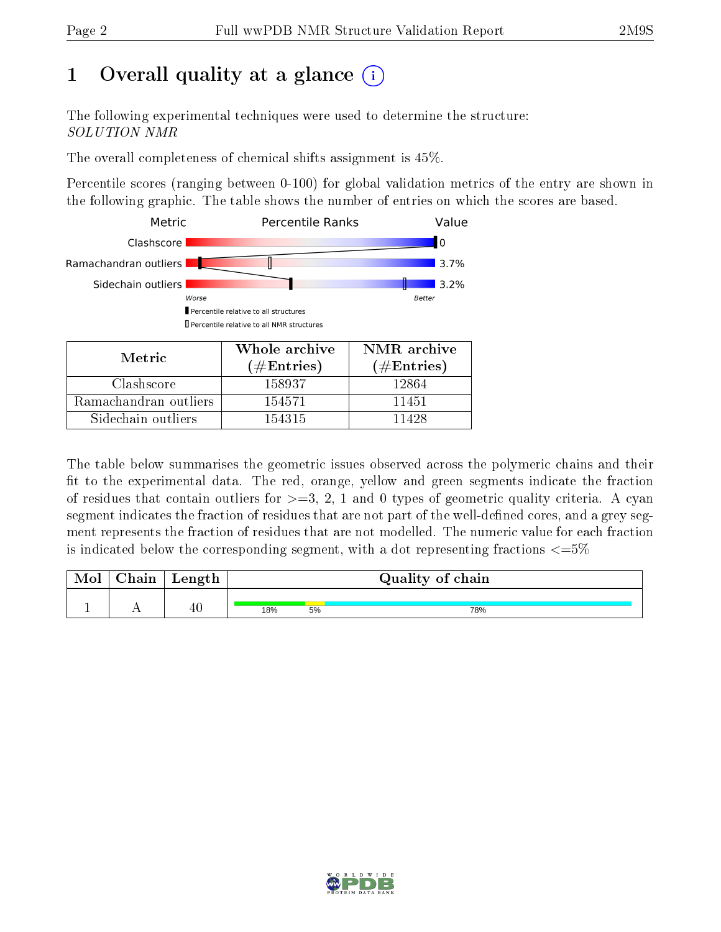## 1 [O](https://www.wwpdb.org/validation/2017/NMRValidationReportHelp#overall_quality)verall quality at a glance (i)

The following experimental techniques were used to determine the structure: SOLUTION NMR

The overall completeness of chemical shifts assignment is 45%.

Percentile scores (ranging between 0-100) for global validation metrics of the entry are shown in the following graphic. The table shows the number of entries on which the scores are based.



The table below summarises the geometric issues observed across the polymeric chains and their fit to the experimental data. The red, orange, yellow and green segments indicate the fraction of residues that contain outliers for  $>=3, 2, 1$  and 0 types of geometric quality criteria. A cyan segment indicates the fraction of residues that are not part of the well-defined cores, and a grey segment represents the fraction of residues that are not modelled. The numeric value for each fraction is indicated below the corresponding segment, with a dot representing fractions  $\epsilon = 5\%$ 

| <b>Mol</b> | ${\bf Chain}$ | Length |     | Quality of chain |     |  |  |  |  |  |  |  |  |
|------------|---------------|--------|-----|------------------|-----|--|--|--|--|--|--|--|--|
|            |               |        |     |                  |     |  |  |  |  |  |  |  |  |
|            |               | 40     | 18% | 5%               | 78% |  |  |  |  |  |  |  |  |

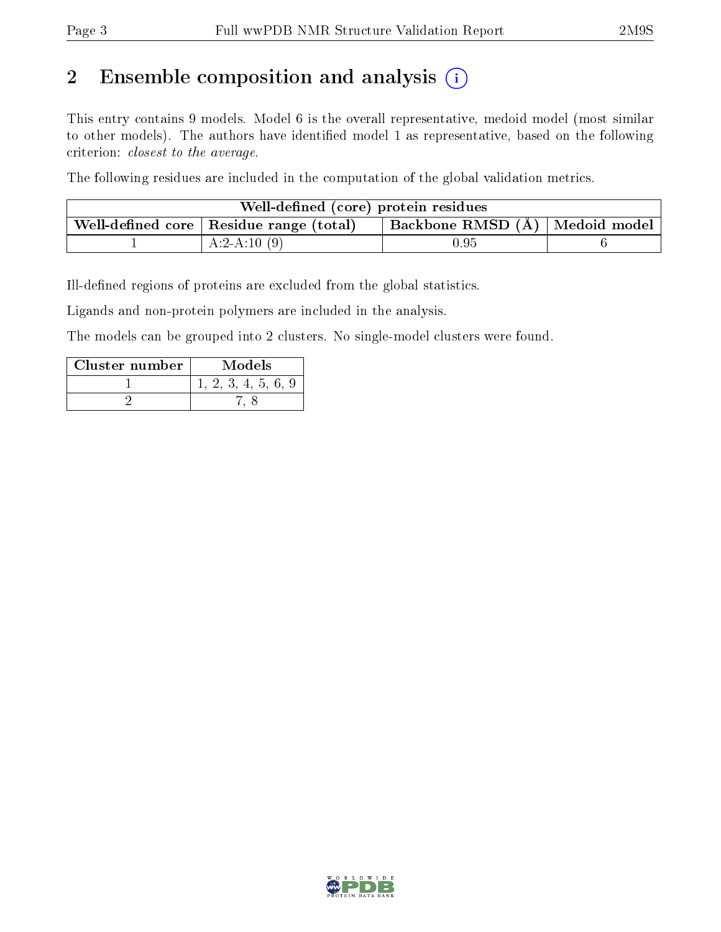## 2 Ensemble composition and analysis  $(i)$

This entry contains 9 models. Model 6 is the overall representative, medoid model (most similar to other models). The authors have identified model 1 as representative, based on the following criterion: closest to the average.

The following residues are included in the computation of the global validation metrics.

| Well-defined (core) protein residues |                                                         |                                    |  |  |  |  |  |  |  |  |  |
|--------------------------------------|---------------------------------------------------------|------------------------------------|--|--|--|--|--|--|--|--|--|
|                                      | . Well-defined core $\mid$ Residue range (total) $\mid$ | Backbone RMSD $(A)$   Medoid model |  |  |  |  |  |  |  |  |  |
|                                      | $A:2-A:10(9)$                                           | $\rm 0.95$                         |  |  |  |  |  |  |  |  |  |

Ill-defined regions of proteins are excluded from the global statistics.

Ligands and non-protein polymers are included in the analysis.

The models can be grouped into 2 clusters. No single-model clusters were found.

| Cluster number | Models |
|----------------|--------|
|                | 4. b.  |
|                |        |

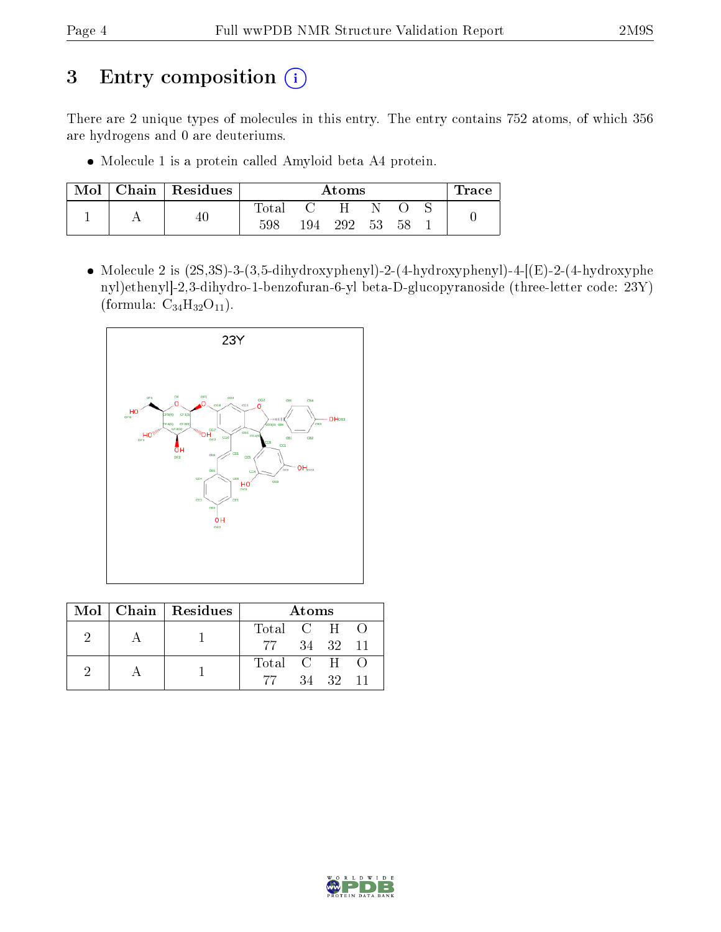## 3 Entry composition (i)

There are 2 unique types of molecules in this entry. The entry contains 752 atoms, of which 356 are hydrogens and 0 are deuteriums.

Molecule 1 is a protein called Amyloid beta A4 protein.

| Mol | Chain Residues |       | Atoms |     |    |    |  |  |  |  |  |  |  |  |  |
|-----|----------------|-------|-------|-----|----|----|--|--|--|--|--|--|--|--|--|
|     |                | Fotal |       | H   |    |    |  |  |  |  |  |  |  |  |  |
|     |                | 598   | 194   | 292 | 53 | 58 |  |  |  |  |  |  |  |  |  |

• Molecule 2 is  $(2S,3S)$ -3- $(3,5$ -dihydroxyphenyl)-2- $(4$ -hydroxyphenyl)-4- $[(E)$ -2- $(4)$ -hydroxyphenyl nyl)ethenyl]-2,3-dihydro-1-benzofuran-6-yl beta-D-glucopyranoside (three-letter code: 23Y) (formula:  $C_{34}H_{32}O_{11}$ ).



|  | Mol   Chain   Residues | Atoms       |  |          |  |  |  |  |  |  |  |
|--|------------------------|-------------|--|----------|--|--|--|--|--|--|--|
|  |                        | Total C H O |  |          |  |  |  |  |  |  |  |
|  |                        | 77 34 32 11 |  |          |  |  |  |  |  |  |  |
|  |                        | Total C H O |  |          |  |  |  |  |  |  |  |
|  |                        | -77         |  | 34 32 11 |  |  |  |  |  |  |  |

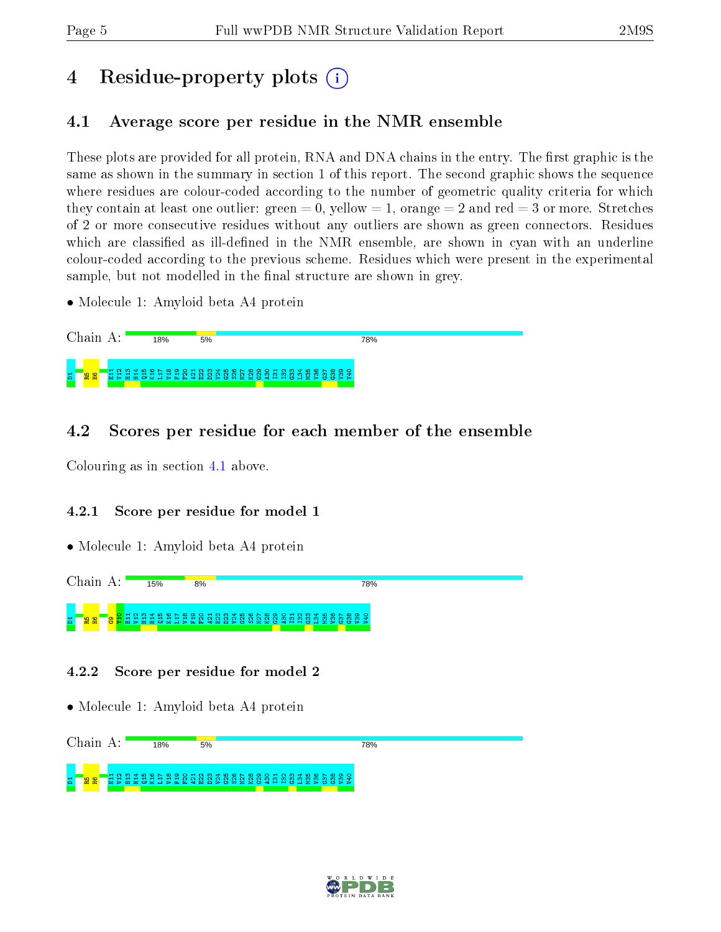## 4 Residue-property plots  $\binom{1}{1}$

## <span id="page-4-0"></span>4.1 Average score per residue in the NMR ensemble

These plots are provided for all protein, RNA and DNA chains in the entry. The first graphic is the same as shown in the summary in section 1 of this report. The second graphic shows the sequence where residues are colour-coded according to the number of geometric quality criteria for which they contain at least one outlier: green  $= 0$ , yellow  $= 1$ , orange  $= 2$  and red  $= 3$  or more. Stretches of 2 or more consecutive residues without any outliers are shown as green connectors. Residues which are classified as ill-defined in the NMR ensemble, are shown in cyan with an underline colour-coded according to the previous scheme. Residues which were present in the experimental sample, but not modelled in the final structure are shown in grey.

• Molecule 1: Amyloid beta A4 protein



## 4.2 Scores per residue for each member of the ensemble

Colouring as in section [4.1](#page-4-0) above.

### 4.2.1 Score per residue for model 1

• Molecule 1: Amyloid beta A4 protein



### 4.2.2 Score per residue for model 2

• Molecule 1: Amyloid beta A4 protein



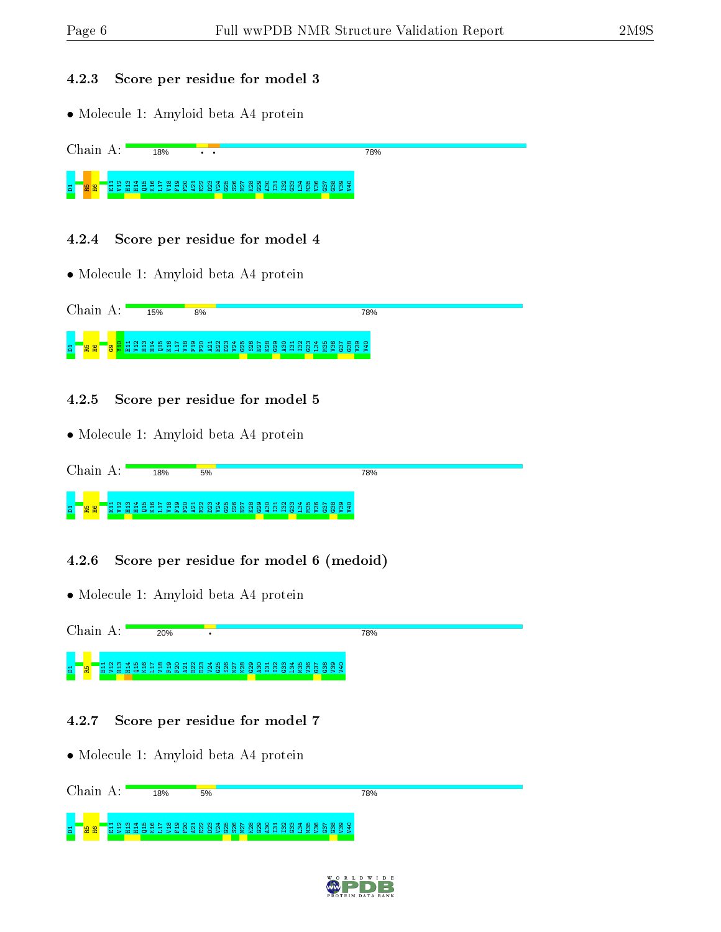78%

#### 4.2.3 Score per residue for model 3

• Molecule 1: Amyloid beta A4 protein

Chain A: 18%

D1R5H6E11 V12 H13 H14 Q15 K16 L17 V18 F19 F20 A21 E22 D23 V24 G25 S26 N27 K28 G29 A30 I31 I32 G33 L34 M35 V36 G37 G38 V39 V40

 $\overline{\cdot}$  .

#### 4.2.4 Score per residue for model 4

• Molecule 1: Amyloid beta A4 protein

Chain A: 15% 8% **78%** D1R5H6G9Y10 E11 V12 H13 H14 Q15 K16 L17 V18 F19 F20 A21 E22 D23 V24 G25 S26 N27 K28 G29 A30 I31 I32 G33 L34 M35 V36 G37 G38 V39 V40

#### 4.2.5 Score per residue for model 5

• Molecule 1: Amyloid beta A4 protein

| $\gamma$ hain                    | 1.8% | 5% | 78% |  |
|----------------------------------|------|----|-----|--|
| 兽<br><b>IO</b><br>Ξ.<br><b>R</b> |      |    |     |  |

4.2.6 Score per residue for model 6 (medoid)

• Molecule 1: Amyloid beta A4 protein



### 4.2.7 Score per residue for model 7

• Molecule 1: Amyloid beta A4 protein

| $\alpha_{\rm hq1}$ |  | 18% | 5% |  |  |  |  |  |  |  | 78% |  |  |  |  |  |  |
|--------------------|--|-----|----|--|--|--|--|--|--|--|-----|--|--|--|--|--|--|
| 畠<br>윎<br>품        |  |     |    |  |  |  |  |  |  |  |     |  |  |  |  |  |  |

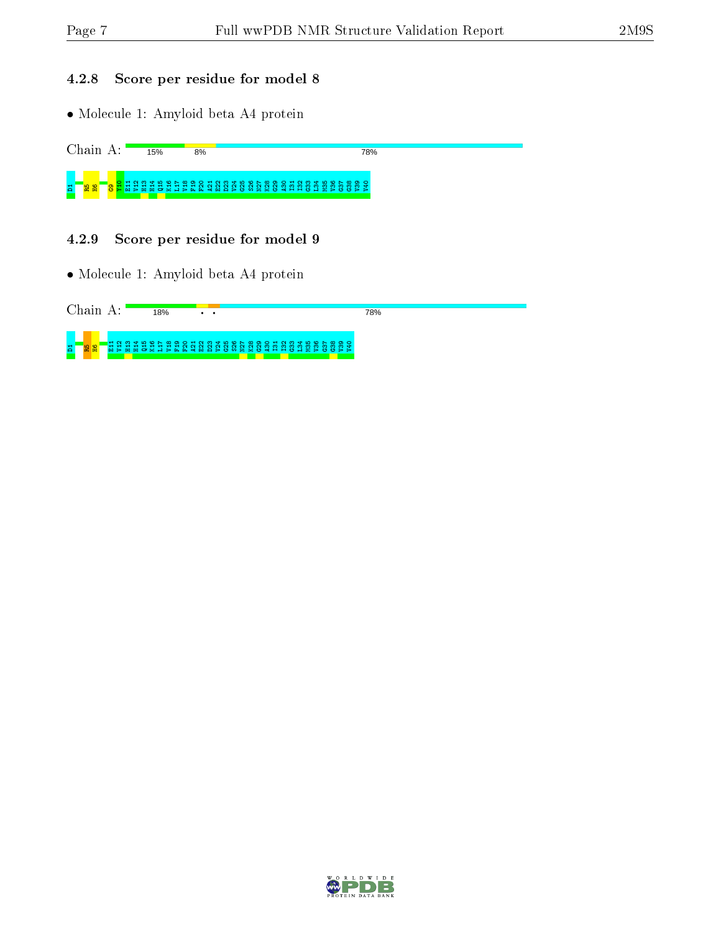**78%** 

### 4.2.8 Score per residue for model 8

 $8%$ 

• Molecule 1: Amyloid beta A4 protein

Chain A:  $15%$ 

 $_{\rm Z}$   $_{\rm T}$   $_{\rm g}$   $_{\rm S}$   $_{\rm C}$   $_{\rm C}$   $_{\rm T}$   $_{\rm S}$   $_{\rm C}$   $_{\rm C}$   $_{\rm C}$   $_{\rm C}$   $_{\rm C}$   $_{\rm C}$   $_{\rm S}$   $_{\rm C}$   $_{\rm S}$   $_{\rm C}$   $_{\rm S}$   $_{\rm C}$   $_{\rm C}$   $_{\rm C}$   $_{\rm C}$   $_{\rm C}$   $_{\rm C}$   $_{\rm C}$   $_{\rm C}$   $_{\rm C$ 

4.2.9 Score per residue for model 9

• Molecule 1: Amyloid beta A4 protein



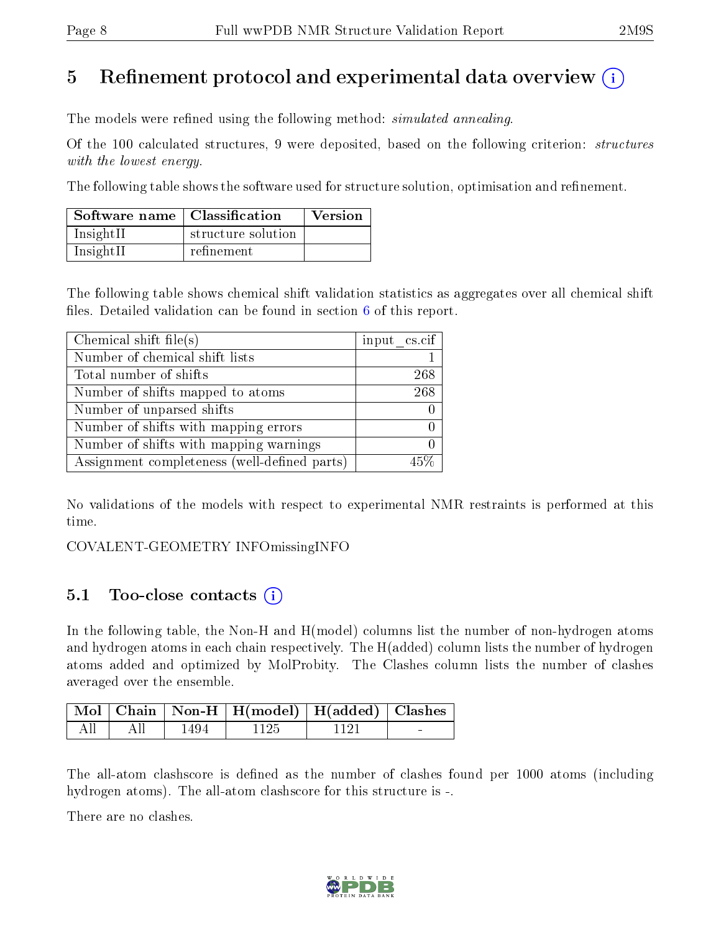## 5 Refinement protocol and experimental data overview  $\binom{1}{k}$

The models were refined using the following method: *simulated annealing*.

Of the 100 calculated structures, 9 were deposited, based on the following criterion: structures with the lowest energy.

The following table shows the software used for structure solution, optimisation and refinement.

| Software name   Classification |                    | <b>Version</b> |
|--------------------------------|--------------------|----------------|
| InsightII                      | structure solution |                |
| InsightII                      | refinement         |                |

The following table shows chemical shift validation statistics as aggregates over all chemical shift files. Detailed validation can be found in section  $6$  of this report.

| Chemical shift file(s)                       | input cs.cif |
|----------------------------------------------|--------------|
| Number of chemical shift lists               |              |
| Total number of shifts                       | 268          |
| Number of shifts mapped to atoms             | 268          |
| Number of unparsed shifts                    |              |
| Number of shifts with mapping errors         |              |
| Number of shifts with mapping warnings       |              |
| Assignment completeness (well-defined parts) |              |

No validations of the models with respect to experimental NMR restraints is performed at this time.

COVALENT-GEOMETRY INFOmissingINFO

## 5.1 Too-close contacts (i)

In the following table, the Non-H and H(model) columns list the number of non-hydrogen atoms and hydrogen atoms in each chain respectively. The H(added) column lists the number of hydrogen atoms added and optimized by MolProbity. The Clashes column lists the number of clashes averaged over the ensemble.

|                                             |      | Mol   Chain   Non-H   H(model)   H(added)   Clashes |        |  |  |  |
|---------------------------------------------|------|-----------------------------------------------------|--------|--|--|--|
| $\parallel$ All $\parallel$ All $\parallel$ | 1494 | - 1125                                              | - 1121 |  |  |  |

The all-atom clashscore is defined as the number of clashes found per 1000 atoms (including hydrogen atoms). The all-atom clashscore for this structure is -.

There are no clashes.

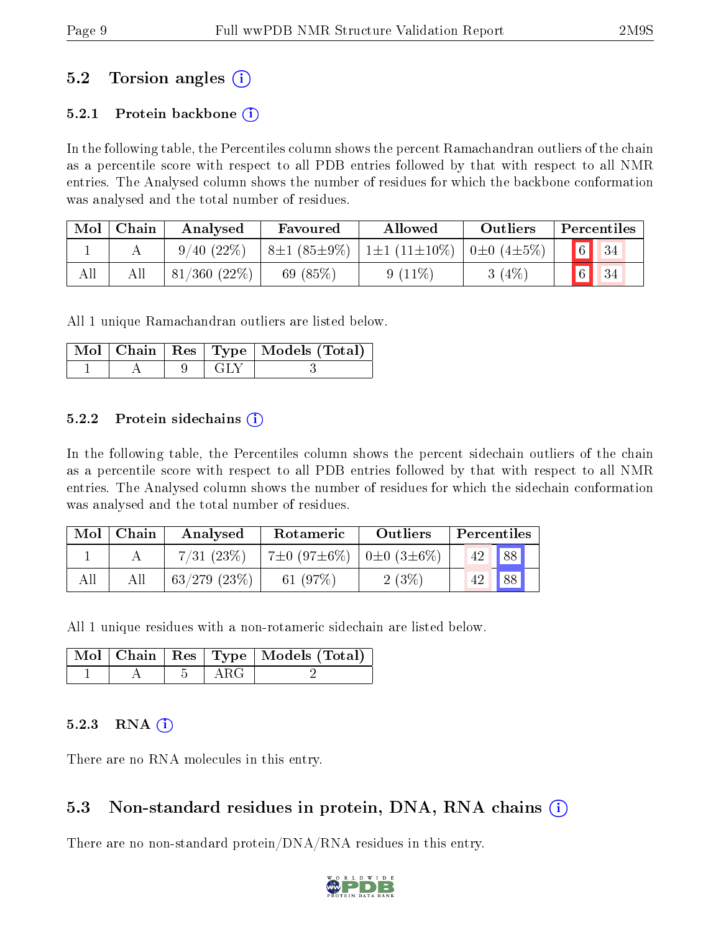## 5.2 Torsion angles (i)

### 5.2.1 Protein backbone  $(i)$

In the following table, the Percentiles column shows the percent Ramachandran outliers of the chain as a percentile score with respect to all PDB entries followed by that with respect to all NMR entries. The Analysed column shows the number of residues for which the backbone conformation was analysed and the total number of residues.

| Mol | Chain | Analysed          | Favoured          | Allowed                     | Outliers          |                | Percentiles |
|-----|-------|-------------------|-------------------|-----------------------------|-------------------|----------------|-------------|
|     |       | $9/40(22\%)$      | $8\pm1(85\pm9\%)$ | $\pm 1 \pm 1 (11 \pm 10\%)$ | $\pm 0.4 \pm 5\%$ | $\boxed{6}$ 34 |             |
| All |       | $81/360$ $(22\%)$ | 69 $(85%)$        | $9(11\%)$                   | 3(4%)             | $6 \mid 34$    |             |

All 1 unique Ramachandran outliers are listed below.

|  |  | Mol   Chain   Res   Type   Models (Total) |
|--|--|-------------------------------------------|
|  |  |                                           |

#### 5.2.2 Protein sidechains  $\hat{1}$

In the following table, the Percentiles column shows the percent sidechain outliers of the chain as a percentile score with respect to all PDB entries followed by that with respect to all NMR entries. The Analysed column shows the number of residues for which the sidechain conformation was analysed and the total number of residues.

| Mol | Chain | Analysed          | Rotameric                                        | Outliers | Percentiles     |    |  |
|-----|-------|-------------------|--------------------------------------------------|----------|-----------------|----|--|
|     |       | 7/31(23%)         | $17\pm0$ (97 $\pm6\%$ )   0 $\pm0$ (3 $\pm6\%$ ) |          | 42 <sup>1</sup> | 88 |  |
| All | All   | $63/279$ $(23\%)$ | 61 $(97%)$                                       | 2(3%)    |                 | 88 |  |

All 1 unique residues with a non-rotameric sidechain are listed below.

|  |      | Mol   Chain   Res   Type   Models (Total) |
|--|------|-------------------------------------------|
|  | ARG. |                                           |

### $5.2.3$  RNA  $(i)$

There are no RNA molecules in this entry.

## 5.3 Non-standard residues in protein, DNA, RNA chains (i)

There are no non-standard protein/DNA/RNA residues in this entry.

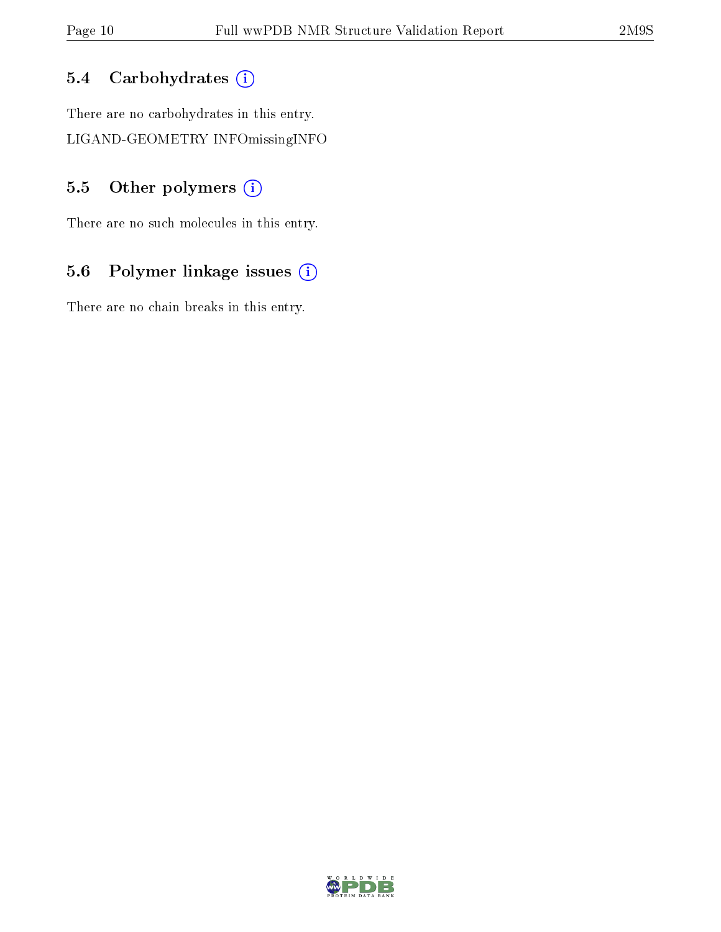## 5.4 Carbohydrates (i)

There are no carbohydrates in this entry. LIGAND-GEOMETRY INFOmissingINFO

## 5.5 [O](https://www.wwpdb.org/validation/2017/NMRValidationReportHelp#nonstandard_residues_and_ligands)ther polymers (i)

There are no such molecules in this entry.

## 5.6 Polymer linkage issues (i)

There are no chain breaks in this entry.

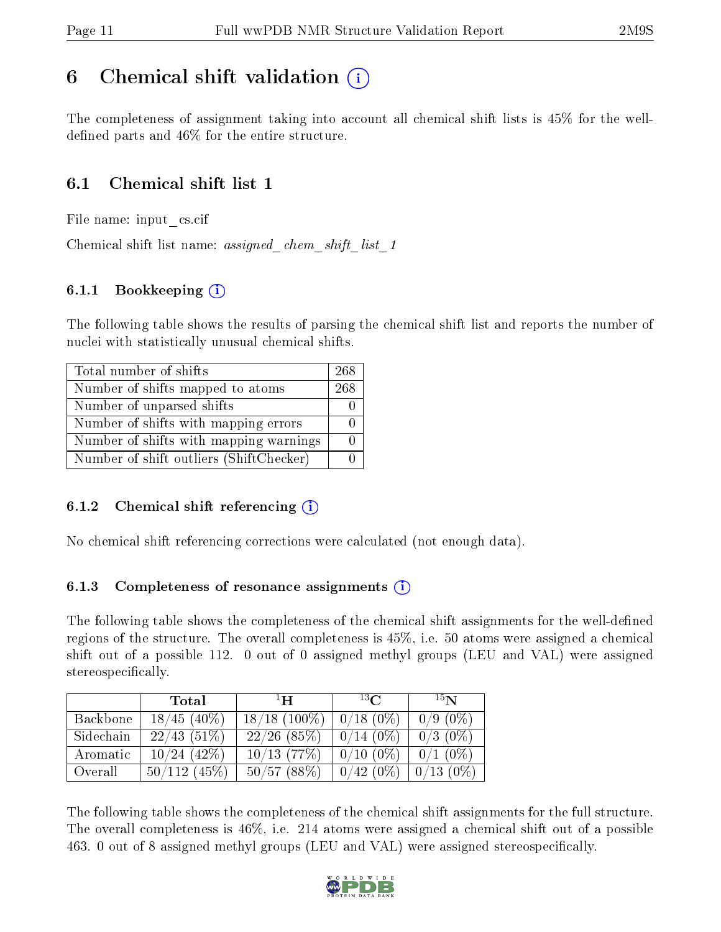## <span id="page-10-0"></span>6 Chemical shift validation  $\binom{1}{k}$

The completeness of assignment taking into account all chemical shift lists is 45% for the welldefined parts and  $46\%$  for the entire structure.

## 6.1 Chemical shift list 1

File name: input\_cs.cif

Chemical shift list name: assigned chem shift list 1

### 6.1.1 Bookkeeping (i)

The following table shows the results of parsing the chemical shift list and reports the number of nuclei with statistically unusual chemical shifts.

| Total number of shifts                  | 268 |
|-----------------------------------------|-----|
| Number of shifts mapped to atoms        | 268 |
| Number of unparsed shifts               |     |
| Number of shifts with mapping errors    |     |
| Number of shifts with mapping warnings  |     |
| Number of shift outliers (ShiftChecker) |     |

### 6.1.2 Chemical shift referencing  $(i)$

No chemical shift referencing corrections were calculated (not enough data).

### 6.1.3 Completeness of resonance assignments  $(i)$

The following table shows the completeness of the chemical shift assignments for the well-defined regions of the structure. The overall completeness is 45%, i.e. 50 atoms were assigned a chemical shift out of a possible 112. 0 out of 0 assigned methyl groups (LEU and VAL) were assigned stereospecifically.

|           | <b>Total</b>   | $\mathbf{H}$    | $^{13}$ C   | 15 <sub>N</sub> |
|-----------|----------------|-----------------|-------------|-----------------|
| Backbone  | $18/45$ (40%)  | $18/18$ (100\%) | $0/18(0\%)$ | $0/9(0\%)$      |
| Sidechain | 22/43(51%)     | $22/26$ (85%)   | $0/14(0\%)$ | $0/3$ (0\%)     |
| Aromatic  | $10/24$ (42\%) | $10/13$ (77\%)  | $0/10(0\%)$ | $0/1$ (0\%)     |
| Overall   | 50/112(45%)    | 50/57(88%)      | $0/42(0\%)$ | $0/13(0\%)$     |

The following table shows the completeness of the chemical shift assignments for the full structure. The overall completeness is 46%, i.e. 214 atoms were assigned a chemical shift out of a possible 463. 0 out of 8 assigned methyl groups (LEU and VAL) were assigned stereospecifically.